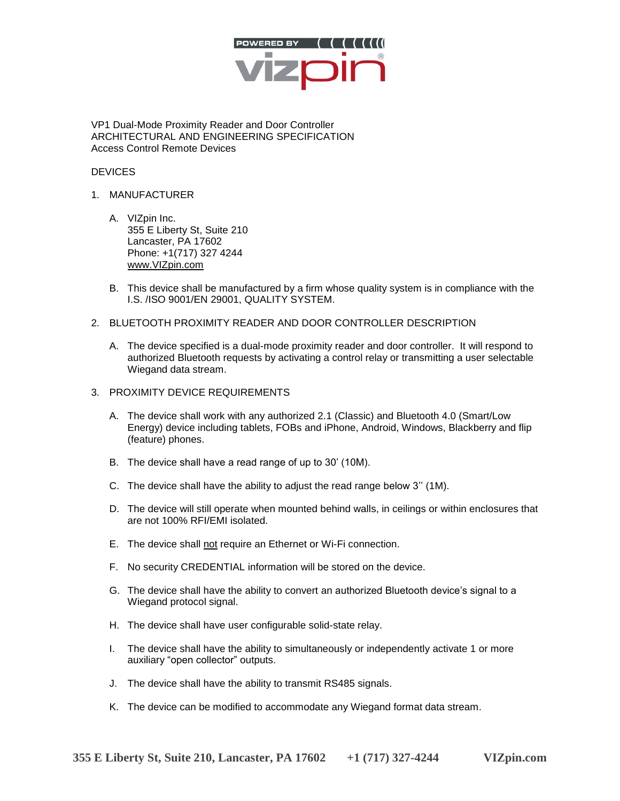

VP1 Dual-Mode Proximity Reader and Door Controller ARCHITECTURAL AND ENGINEERING SPECIFICATION Access Control Remote Devices

## **DEVICES**

- 1. MANUFACTURER
	- A. VIZpin Inc. 355 E Liberty St, Suite 210 Lancaster, PA 17602 Phone: +1(717) 327 4244 www.VIZpin.com
	- B. This device shall be manufactured by a firm whose quality system is in compliance with the I.S. /ISO 9001/EN 29001, QUALITY SYSTEM.
- 2. BLUETOOTH PROXIMITY READER AND DOOR CONTROLLER DESCRIPTION
	- A. The device specified is a dual-mode proximity reader and door controller. It will respond to authorized Bluetooth requests by activating a control relay or transmitting a user selectable Wiegand data stream.
- 3. PROXIMITY DEVICE REQUIREMENTS
	- A. The device shall work with any authorized 2.1 (Classic) and Bluetooth 4.0 (Smart/Low Energy) device including tablets, FOBs and iPhone, Android, Windows, Blackberry and flip (feature) phones.
	- B. The device shall have a read range of up to 30' (10M).
	- C. The device shall have the ability to adjust the read range below 3'' (1M).
	- D. The device will still operate when mounted behind walls, in ceilings or within enclosures that are not 100% RFI/EMI isolated.
	- E. The device shall not require an Ethernet or Wi-Fi connection.
	- F. No security CREDENTIAL information will be stored on the device.
	- G. The device shall have the ability to convert an authorized Bluetooth device's signal to a Wiegand protocol signal.
	- H. The device shall have user configurable solid-state relay.
	- I. The device shall have the ability to simultaneously or independently activate 1 or more auxiliary "open collector" outputs.
	- J. The device shall have the ability to transmit RS485 signals.
	- K. The device can be modified to accommodate any Wiegand format data stream.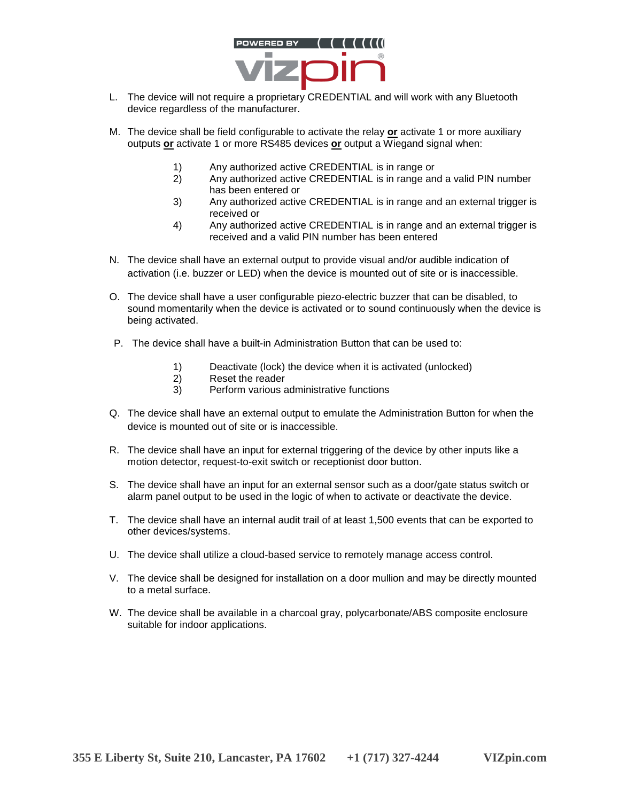

- L. The device will not require a proprietary CREDENTIAL and will work with any Bluetooth device regardless of the manufacturer.
- M. The device shall be field configurable to activate the relay **or** activate 1 or more auxiliary outputs **or** activate 1 or more RS485 devices **or** output a Wiegand signal when:
	- 1) Any authorized active CREDENTIAL is in range or
	- 2) Any authorized active CREDENTIAL is in range and a valid PIN number has been entered or
	- 3) Any authorized active CREDENTIAL is in range and an external trigger is received or
	- 4) Any authorized active CREDENTIAL is in range and an external trigger is received and a valid PIN number has been entered
- N. The device shall have an external output to provide visual and/or audible indication of activation (i.e. buzzer or LED) when the device is mounted out of site or is inaccessible.
- O. The device shall have a user configurable piezo-electric buzzer that can be disabled, to sound momentarily when the device is activated or to sound continuously when the device is being activated.
- P. The device shall have a built-in Administration Button that can be used to:
	- 1) Deactivate (lock) the device when it is activated (unlocked)
	- Reset the reader
	- 3) Perform various administrative functions
- Q. The device shall have an external output to emulate the Administration Button for when the device is mounted out of site or is inaccessible.
- R. The device shall have an input for external triggering of the device by other inputs like a motion detector, request-to-exit switch or receptionist door button.
- S. The device shall have an input for an external sensor such as a door/gate status switch or alarm panel output to be used in the logic of when to activate or deactivate the device.
- T. The device shall have an internal audit trail of at least 1,500 events that can be exported to other devices/systems.
- U. The device shall utilize a cloud-based service to remotely manage access control.
- V. The device shall be designed for installation on a door mullion and may be directly mounted to a metal surface.
- W. The device shall be available in a charcoal gray, polycarbonate/ABS composite enclosure suitable for indoor applications.